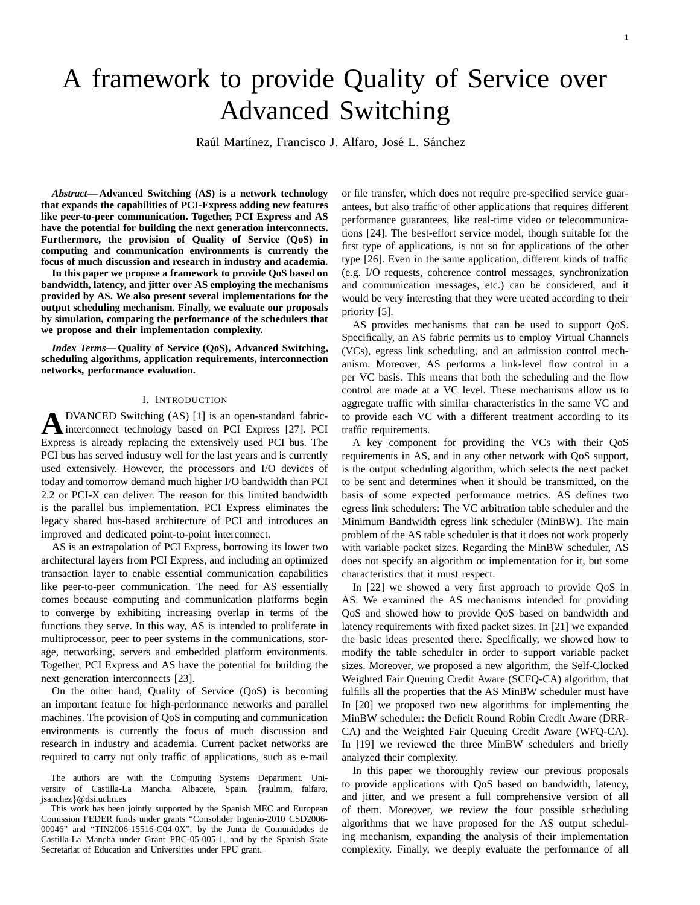# A framework to provide Quality of Service over Advanced Switching

Raúl Martínez, Francisco J. Alfaro, José L. Sánchez

*Abstract***— Advanced Switching (AS) is a network technology that expands the capabilities of PCI-Express adding new features like peer-to-peer communication. Together, PCI Express and AS have the potential for building the next generation interconnects. Furthermore, the provision of Quality of Service (QoS) in computing and communication environments is currently the focus of much discussion and research in industry and academia.**

**In this paper we propose a framework to provide QoS based on bandwidth, latency, and jitter over AS employing the mechanisms provided by AS. We also present several implementations for the output scheduling mechanism. Finally, we evaluate our proposals by simulation, comparing the performance of the schedulers that we propose and their implementation complexity.**

*Index Terms***— Quality of Service (QoS), Advanced Switching, scheduling algorithms, application requirements, interconnection networks, performance evaluation.**

## I. INTRODUCTION

**A** DVANCED Switching (AS) [1] is an open-standard fabricinterconnect technology based on PCI Express [27]. PCI Express is already replacing the extensively used PCI bus. The PCI bus has served industry well for the last years and is currently used extensively. However, the processors and I/O devices of today and tomorrow demand much higher I/O bandwidth than PCI 2.2 or PCI-X can deliver. The reason for this limited bandwidth is the parallel bus implementation. PCI Express eliminates the legacy shared bus-based architecture of PCI and introduces an improved and dedicated point-to-point interconnect.

AS is an extrapolation of PCI Express, borrowing its lower two architectural layers from PCI Express, and including an optimized transaction layer to enable essential communication capabilities like peer-to-peer communication. The need for AS essentially comes because computing and communication platforms begin to converge by exhibiting increasing overlap in terms of the functions they serve. In this way, AS is intended to proliferate in multiprocessor, peer to peer systems in the communications, storage, networking, servers and embedded platform environments. Together, PCI Express and AS have the potential for building the next generation interconnects [23].

On the other hand, Quality of Service (QoS) is becoming an important feature for high-performance networks and parallel machines. The provision of QoS in computing and communication environments is currently the focus of much discussion and research in industry and academia. Current packet networks are required to carry not only traffic of applications, such as e-mail or file transfer, which does not require pre-specified service guarantees, but also traffic of other applications that requires different performance guarantees, like real-time video or telecommunications [24]. The best-effort service model, though suitable for the first type of applications, is not so for applications of the other type [26]. Even in the same application, different kinds of traffic (e.g. I/O requests, coherence control messages, synchronization and communication messages, etc.) can be considered, and it would be very interesting that they were treated according to their priority [5].

AS provides mechanisms that can be used to support QoS. Specifically, an AS fabric permits us to employ Virtual Channels (VCs), egress link scheduling, and an admission control mechanism. Moreover, AS performs a link-level flow control in a per VC basis. This means that both the scheduling and the flow control are made at a VC level. These mechanisms allow us to aggregate traffic with similar characteristics in the same VC and to provide each VC with a different treatment according to its traffic requirements.

A key component for providing the VCs with their QoS requirements in AS, and in any other network with QoS support, is the output scheduling algorithm, which selects the next packet to be sent and determines when it should be transmitted, on the basis of some expected performance metrics. AS defines two egress link schedulers: The VC arbitration table scheduler and the Minimum Bandwidth egress link scheduler (MinBW). The main problem of the AS table scheduler is that it does not work properly with variable packet sizes. Regarding the MinBW scheduler, AS does not specify an algorithm or implementation for it, but some characteristics that it must respect.

In [22] we showed a very first approach to provide QoS in AS. We examined the AS mechanisms intended for providing QoS and showed how to provide QoS based on bandwidth and latency requirements with fixed packet sizes. In [21] we expanded the basic ideas presented there. Specifically, we showed how to modify the table scheduler in order to support variable packet sizes. Moreover, we proposed a new algorithm, the Self-Clocked Weighted Fair Queuing Credit Aware (SCFQ-CA) algorithm, that fulfills all the properties that the AS MinBW scheduler must have In [20] we proposed two new algorithms for implementing the MinBW scheduler: the Deficit Round Robin Credit Aware (DRR-CA) and the Weighted Fair Queuing Credit Aware (WFQ-CA). In [19] we reviewed the three MinBW schedulers and briefly analyzed their complexity.

In this paper we thoroughly review our previous proposals to provide applications with QoS based on bandwidth, latency, and jitter, and we present a full comprehensive version of all of them. Moreover, we review the four possible scheduling algorithms that we have proposed for the AS output scheduling mechanism, expanding the analysis of their implementation complexity. Finally, we deeply evaluate the performance of all

The authors are with the Computing Systems Department. University of Castilla-La Mancha. Albacete, Spain. {raulmm, falfaro, jsanchez}@dsi.uclm.es

This work has been jointly supported by the Spanish MEC and European Comission FEDER funds under grants "Consolider Ingenio-2010 CSD2006- 00046" and "TIN2006-15516-C04-0X", by the Junta de Comunidades de Castilla-La Mancha under Grant PBC-05-005-1, and by the Spanish State Secretariat of Education and Universities under FPU grant.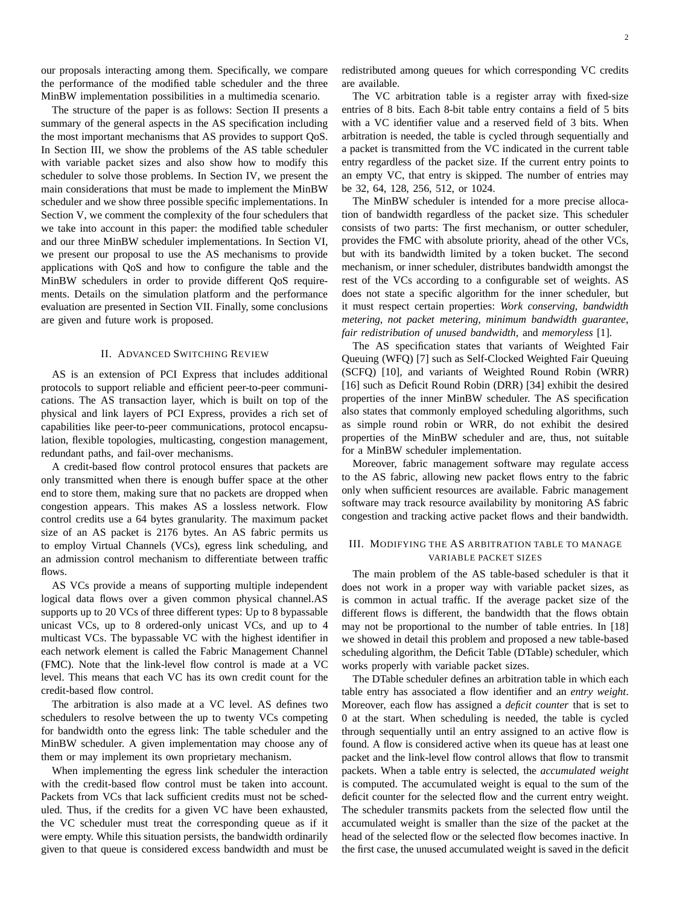our proposals interacting among them. Specifically, we compare the performance of the modified table scheduler and the three MinBW implementation possibilities in a multimedia scenario.

The structure of the paper is as follows: Section II presents a summary of the general aspects in the AS specification including the most important mechanisms that AS provides to support QoS. In Section III, we show the problems of the AS table scheduler with variable packet sizes and also show how to modify this scheduler to solve those problems. In Section IV, we present the main considerations that must be made to implement the MinBW scheduler and we show three possible specific implementations. In Section V, we comment the complexity of the four schedulers that we take into account in this paper: the modified table scheduler and our three MinBW scheduler implementations. In Section VI, we present our proposal to use the AS mechanisms to provide applications with QoS and how to configure the table and the MinBW schedulers in order to provide different QoS requirements. Details on the simulation platform and the performance evaluation are presented in Section VII. Finally, some conclusions are given and future work is proposed.

## II. ADVANCED SWITCHING REVIEW

AS is an extension of PCI Express that includes additional protocols to support reliable and efficient peer-to-peer communications. The AS transaction layer, which is built on top of the physical and link layers of PCI Express, provides a rich set of capabilities like peer-to-peer communications, protocol encapsulation, flexible topologies, multicasting, congestion management, redundant paths, and fail-over mechanisms.

A credit-based flow control protocol ensures that packets are only transmitted when there is enough buffer space at the other end to store them, making sure that no packets are dropped when congestion appears. This makes AS a lossless network. Flow control credits use a 64 bytes granularity. The maximum packet size of an AS packet is 2176 bytes. An AS fabric permits us to employ Virtual Channels (VCs), egress link scheduling, and an admission control mechanism to differentiate between traffic flows.

AS VCs provide a means of supporting multiple independent logical data flows over a given common physical channel.AS supports up to 20 VCs of three different types: Up to 8 bypassable unicast VCs, up to 8 ordered-only unicast VCs, and up to 4 multicast VCs. The bypassable VC with the highest identifier in each network element is called the Fabric Management Channel (FMC). Note that the link-level flow control is made at a VC level. This means that each VC has its own credit count for the credit-based flow control.

The arbitration is also made at a VC level. AS defines two schedulers to resolve between the up to twenty VCs competing for bandwidth onto the egress link: The table scheduler and the MinBW scheduler. A given implementation may choose any of them or may implement its own proprietary mechanism.

When implementing the egress link scheduler the interaction with the credit-based flow control must be taken into account. Packets from VCs that lack sufficient credits must not be scheduled. Thus, if the credits for a given VC have been exhausted, the VC scheduler must treat the corresponding queue as if it were empty. While this situation persists, the bandwidth ordinarily given to that queue is considered excess bandwidth and must be redistributed among queues for which corresponding VC credits are available.

The VC arbitration table is a register array with fixed-size entries of 8 bits. Each 8-bit table entry contains a field of 5 bits with a VC identifier value and a reserved field of 3 bits. When arbitration is needed, the table is cycled through sequentially and a packet is transmitted from the VC indicated in the current table entry regardless of the packet size. If the current entry points to an empty VC, that entry is skipped. The number of entries may be 32, 64, 128, 256, 512, or 1024.

The MinBW scheduler is intended for a more precise allocation of bandwidth regardless of the packet size. This scheduler consists of two parts: The first mechanism, or outter scheduler, provides the FMC with absolute priority, ahead of the other VCs, but with its bandwidth limited by a token bucket. The second mechanism, or inner scheduler, distributes bandwidth amongst the rest of the VCs according to a configurable set of weights. AS does not state a specific algorithm for the inner scheduler, but it must respect certain properties: *Work conserving*, *bandwidth metering, not packet metering*, *minimum bandwidth guarantee*, *fair redistribution of unused bandwidth*, and *memoryless* [1].

The AS specification states that variants of Weighted Fair Queuing (WFQ) [7] such as Self-Clocked Weighted Fair Queuing (SCFQ) [10], and variants of Weighted Round Robin (WRR) [16] such as Deficit Round Robin (DRR) [34] exhibit the desired properties of the inner MinBW scheduler. The AS specification also states that commonly employed scheduling algorithms, such as simple round robin or WRR, do not exhibit the desired properties of the MinBW scheduler and are, thus, not suitable for a MinBW scheduler implementation.

Moreover, fabric management software may regulate access to the AS fabric, allowing new packet flows entry to the fabric only when sufficient resources are available. Fabric management software may track resource availability by monitoring AS fabric congestion and tracking active packet flows and their bandwidth.

## III. MODIFYING THE AS ARBITRATION TABLE TO MANAGE VARIABLE PACKET SIZES

The main problem of the AS table-based scheduler is that it does not work in a proper way with variable packet sizes, as is common in actual traffic. If the average packet size of the different flows is different, the bandwidth that the flows obtain may not be proportional to the number of table entries. In [18] we showed in detail this problem and proposed a new table-based scheduling algorithm, the Deficit Table (DTable) scheduler, which works properly with variable packet sizes.

The DTable scheduler defines an arbitration table in which each table entry has associated a flow identifier and an *entry weight*. Moreover, each flow has assigned a *deficit counter* that is set to 0 at the start. When scheduling is needed, the table is cycled through sequentially until an entry assigned to an active flow is found. A flow is considered active when its queue has at least one packet and the link-level flow control allows that flow to transmit packets. When a table entry is selected, the *accumulated weight* is computed. The accumulated weight is equal to the sum of the deficit counter for the selected flow and the current entry weight. The scheduler transmits packets from the selected flow until the accumulated weight is smaller than the size of the packet at the head of the selected flow or the selected flow becomes inactive. In the first case, the unused accumulated weight is saved in the deficit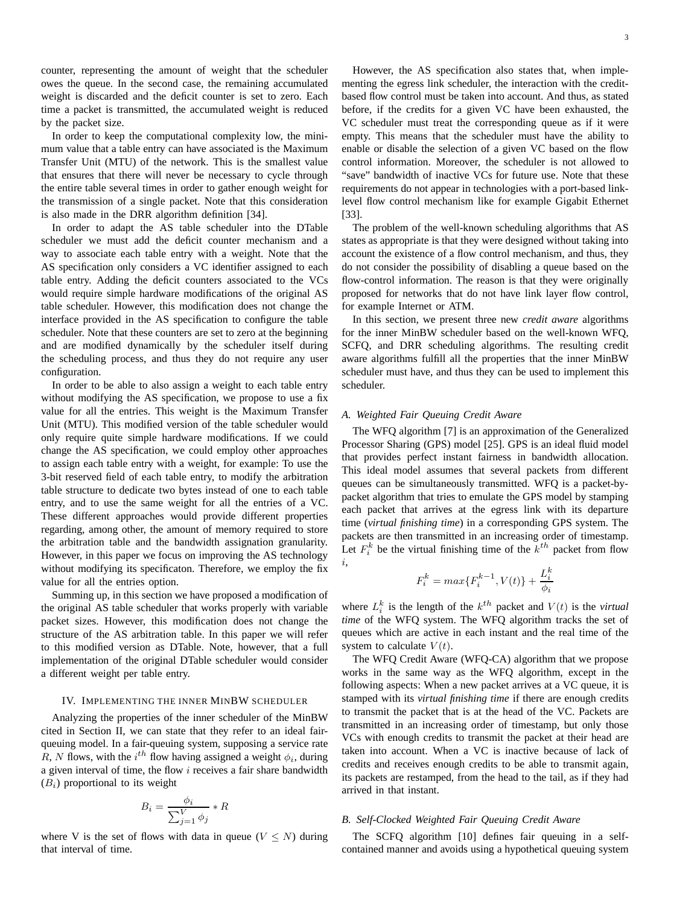counter, representing the amount of weight that the scheduler owes the queue. In the second case, the remaining accumulated weight is discarded and the deficit counter is set to zero. Each time a packet is transmitted, the accumulated weight is reduced by the packet size.

In order to keep the computational complexity low, the minimum value that a table entry can have associated is the Maximum Transfer Unit (MTU) of the network. This is the smallest value that ensures that there will never be necessary to cycle through the entire table several times in order to gather enough weight for the transmission of a single packet. Note that this consideration is also made in the DRR algorithm definition [34].

In order to adapt the AS table scheduler into the DTable scheduler we must add the deficit counter mechanism and a way to associate each table entry with a weight. Note that the AS specification only considers a VC identifier assigned to each table entry. Adding the deficit counters associated to the VCs would require simple hardware modifications of the original AS table scheduler. However, this modification does not change the interface provided in the AS specification to configure the table scheduler. Note that these counters are set to zero at the beginning and are modified dynamically by the scheduler itself during the scheduling process, and thus they do not require any user configuration.

In order to be able to also assign a weight to each table entry without modifying the AS specification, we propose to use a fix value for all the entries. This weight is the Maximum Transfer Unit (MTU). This modified version of the table scheduler would only require quite simple hardware modifications. If we could change the AS specification, we could employ other approaches to assign each table entry with a weight, for example: To use the 3-bit reserved field of each table entry, to modify the arbitration table structure to dedicate two bytes instead of one to each table entry, and to use the same weight for all the entries of a VC. These different approaches would provide different properties regarding, among other, the amount of memory required to store the arbitration table and the bandwidth assignation granularity. However, in this paper we focus on improving the AS technology without modifying its specificaton. Therefore, we employ the fix value for all the entries option.

Summing up, in this section we have proposed a modification of the original AS table scheduler that works properly with variable packet sizes. However, this modification does not change the structure of the AS arbitration table. In this paper we will refer to this modified version as DTable. Note, however, that a full implementation of the original DTable scheduler would consider a different weight per table entry.

## IV. IMPLEMENTING THE INNER MINBW SCHEDULER

Analyzing the properties of the inner scheduler of the MinBW cited in Section II, we can state that they refer to an ideal fairqueuing model. In a fair-queuing system, supposing a service rate R, N flows, with the  $i^{th}$  flow having assigned a weight  $\phi_i$ , during a given interval of time, the flow  $i$  receives a fair share bandwidth  $(B<sub>i</sub>)$  proportional to its weight

$$
B_i = \frac{\phi_i}{\sum_{j=1}^{V} \phi_j} * R
$$

where V is the set of flows with data in queue ( $V \leq N$ ) during that interval of time.

However, the AS specification also states that, when implementing the egress link scheduler, the interaction with the creditbased flow control must be taken into account. And thus, as stated before, if the credits for a given VC have been exhausted, the VC scheduler must treat the corresponding queue as if it were empty. This means that the scheduler must have the ability to enable or disable the selection of a given VC based on the flow control information. Moreover, the scheduler is not allowed to "save" bandwidth of inactive VCs for future use. Note that these requirements do not appear in technologies with a port-based linklevel flow control mechanism like for example Gigabit Ethernet [33].

The problem of the well-known scheduling algorithms that AS states as appropriate is that they were designed without taking into account the existence of a flow control mechanism, and thus, they do not consider the possibility of disabling a queue based on the flow-control information. The reason is that they were originally proposed for networks that do not have link layer flow control, for example Internet or ATM.

In this section, we present three new *credit aware* algorithms for the inner MinBW scheduler based on the well-known WFQ, SCFQ, and DRR scheduling algorithms. The resulting credit aware algorithms fulfill all the properties that the inner MinBW scheduler must have, and thus they can be used to implement this scheduler.

#### *A. Weighted Fair Queuing Credit Aware*

The WFQ algorithm [7] is an approximation of the Generalized Processor Sharing (GPS) model [25]. GPS is an ideal fluid model that provides perfect instant fairness in bandwidth allocation. This ideal model assumes that several packets from different queues can be simultaneously transmitted. WFQ is a packet-bypacket algorithm that tries to emulate the GPS model by stamping each packet that arrives at the egress link with its departure time (*virtual finishing time*) in a corresponding GPS system. The packets are then transmitted in an increasing order of timestamp. Let  $F_i^k$  be the virtual finishing time of the  $k^{th}$  packet from flow i,

$$
F_i^k = \max\{F_i^{k-1}, V(t)\} + \frac{L_i^k}{\phi_i}
$$

where  $L_i^k$  is the length of the  $k^{th}$  packet and  $V(t)$  is the *virtual time* of the WFQ system. The WFQ algorithm tracks the set of queues which are active in each instant and the real time of the system to calculate  $V(t)$ .

The WFQ Credit Aware (WFQ-CA) algorithm that we propose works in the same way as the WFQ algorithm, except in the following aspects: When a new packet arrives at a VC queue, it is stamped with its *virtual finishing time* if there are enough credits to transmit the packet that is at the head of the VC. Packets are transmitted in an increasing order of timestamp, but only those VCs with enough credits to transmit the packet at their head are taken into account. When a VC is inactive because of lack of credits and receives enough credits to be able to transmit again, its packets are restamped, from the head to the tail, as if they had arrived in that instant.

#### *B. Self-Clocked Weighted Fair Queuing Credit Aware*

The SCFQ algorithm [10] defines fair queuing in a selfcontained manner and avoids using a hypothetical queuing system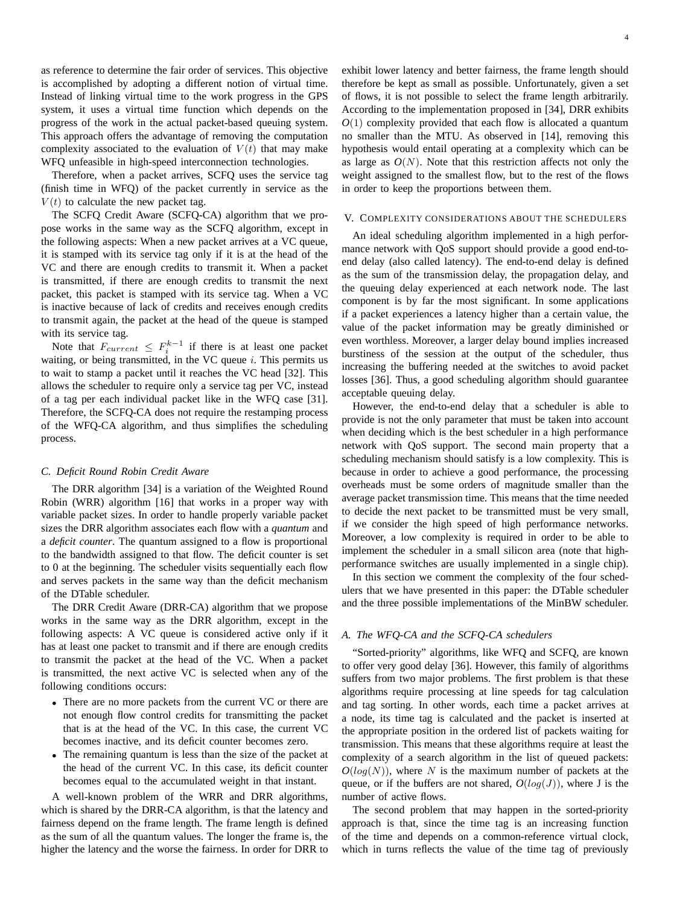as reference to determine the fair order of services. This objective is accomplished by adopting a different notion of virtual time. Instead of linking virtual time to the work progress in the GPS system, it uses a virtual time function which depends on the progress of the work in the actual packet-based queuing system. This approach offers the advantage of removing the computation complexity associated to the evaluation of  $V(t)$  that may make WFQ unfeasible in high-speed interconnection technologies.

Therefore, when a packet arrives, SCFQ uses the service tag (finish time in WFQ) of the packet currently in service as the  $V(t)$  to calculate the new packet tag.

The SCFQ Credit Aware (SCFQ-CA) algorithm that we propose works in the same way as the SCFQ algorithm, except in the following aspects: When a new packet arrives at a VC queue, it is stamped with its service tag only if it is at the head of the VC and there are enough credits to transmit it. When a packet is transmitted, if there are enough credits to transmit the next packet, this packet is stamped with its service tag. When a VC is inactive because of lack of credits and receives enough credits to transmit again, the packet at the head of the queue is stamped with its service tag.

Note that  $F_{current} \leq F_i^{k-1}$  if there is at least one packet waiting, or being transmitted, in the VC queue  $i$ . This permits us to wait to stamp a packet until it reaches the VC head [32]. This allows the scheduler to require only a service tag per VC, instead of a tag per each individual packet like in the WFQ case [31]. Therefore, the SCFQ-CA does not require the restamping process of the WFQ-CA algorithm, and thus simplifies the scheduling process.

## *C. Deficit Round Robin Credit Aware*

The DRR algorithm [34] is a variation of the Weighted Round Robin (WRR) algorithm [16] that works in a proper way with variable packet sizes. In order to handle properly variable packet sizes the DRR algorithm associates each flow with a *quantum* and a *deficit counter*. The quantum assigned to a flow is proportional to the bandwidth assigned to that flow. The deficit counter is set to 0 at the beginning. The scheduler visits sequentially each flow and serves packets in the same way than the deficit mechanism of the DTable scheduler.

The DRR Credit Aware (DRR-CA) algorithm that we propose works in the same way as the DRR algorithm, except in the following aspects: A VC queue is considered active only if it has at least one packet to transmit and if there are enough credits to transmit the packet at the head of the VC. When a packet is transmitted, the next active VC is selected when any of the following conditions occurs:

- There are no more packets from the current VC or there are not enough flow control credits for transmitting the packet that is at the head of the VC. In this case, the current VC becomes inactive, and its deficit counter becomes zero.
- The remaining quantum is less than the size of the packet at the head of the current VC. In this case, its deficit counter becomes equal to the accumulated weight in that instant.

A well-known problem of the WRR and DRR algorithms, which is shared by the DRR-CA algorithm, is that the latency and fairness depend on the frame length. The frame length is defined as the sum of all the quantum values. The longer the frame is, the higher the latency and the worse the fairness. In order for DRR to exhibit lower latency and better fairness, the frame length should therefore be kept as small as possible. Unfortunately, given a set of flows, it is not possible to select the frame length arbitrarily. According to the implementation proposed in [34], DRR exhibits  $O(1)$  complexity provided that each flow is allocated a quantum no smaller than the MTU. As observed in [14], removing this hypothesis would entail operating at a complexity which can be as large as  $O(N)$ . Note that this restriction affects not only the weight assigned to the smallest flow, but to the rest of the flows in order to keep the proportions between them.

## V. COMPLEXITY CONSIDERATIONS ABOUT THE SCHEDULERS

An ideal scheduling algorithm implemented in a high performance network with QoS support should provide a good end-toend delay (also called latency). The end-to-end delay is defined as the sum of the transmission delay, the propagation delay, and the queuing delay experienced at each network node. The last component is by far the most significant. In some applications if a packet experiences a latency higher than a certain value, the value of the packet information may be greatly diminished or even worthless. Moreover, a larger delay bound implies increased burstiness of the session at the output of the scheduler, thus increasing the buffering needed at the switches to avoid packet losses [36]. Thus, a good scheduling algorithm should guarantee acceptable queuing delay.

However, the end-to-end delay that a scheduler is able to provide is not the only parameter that must be taken into account when deciding which is the best scheduler in a high performance network with QoS support. The second main property that a scheduling mechanism should satisfy is a low complexity. This is because in order to achieve a good performance, the processing overheads must be some orders of magnitude smaller than the average packet transmission time. This means that the time needed to decide the next packet to be transmitted must be very small, if we consider the high speed of high performance networks. Moreover, a low complexity is required in order to be able to implement the scheduler in a small silicon area (note that highperformance switches are usually implemented in a single chip).

In this section we comment the complexity of the four schedulers that we have presented in this paper: the DTable scheduler and the three possible implementations of the MinBW scheduler.

#### *A. The WFQ-CA and the SCFQ-CA schedulers*

"Sorted-priority" algorithms, like WFQ and SCFQ, are known to offer very good delay [36]. However, this family of algorithms suffers from two major problems. The first problem is that these algorithms require processing at line speeds for tag calculation and tag sorting. In other words, each time a packet arrives at a node, its time tag is calculated and the packet is inserted at the appropriate position in the ordered list of packets waiting for transmission. This means that these algorithms require at least the complexity of a search algorithm in the list of queued packets:  $O(log(N))$ , where N is the maximum number of packets at the queue, or if the buffers are not shared,  $O(log(J))$ , where J is the number of active flows.

The second problem that may happen in the sorted-priority approach is that, since the time tag is an increasing function of the time and depends on a common-reference virtual clock, which in turns reflects the value of the time tag of previously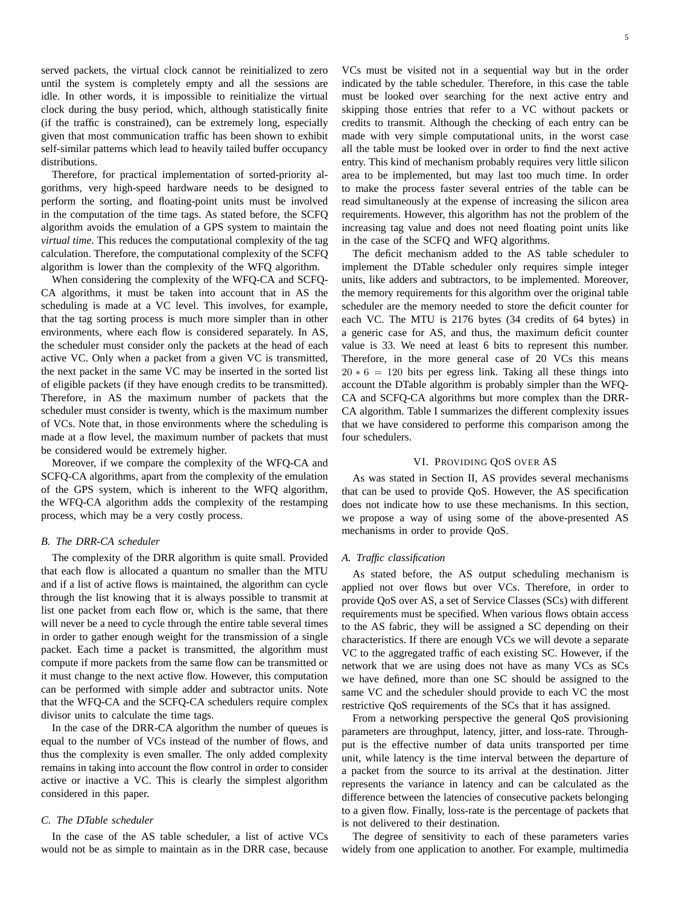served packets, the virtual clock cannot be reinitialized to zero until the system is completely empty and all the sessions are idle. In other words, it is impossible to reinitialize the virtual clock during the busy period, which, although statistically finite (if the traffic is constrained), can be extremely long, especially given that most communication traffic has been shown to exhibit self-similar patterns which lead to heavily tailed buffer occupancy distributions.

Therefore, for practical implementation of sorted-priority algorithms, very high-speed hardware needs to be designed to perform the sorting, and floating-point units must be involved in the computation of the time tags. As stated before, the SCFQ algorithm avoids the emulation of a GPS system to maintain the *virtual time*. This reduces the computational complexity of the tag calculation. Therefore, the computational complexity of the SCFQ algorithm is lower than the complexity of the WFQ algorithm.

When considering the complexity of the WFQ-CA and SCFQ-CA algorithms, it must be taken into account that in AS the scheduling is made at a VC level. This involves, for example, that the tag sorting process is much more simpler than in other environments, where each flow is considered separately. In AS, the scheduler must consider only the packets at the head of each active VC. Only when a packet from a given VC is transmitted, the next packet in the same VC may be inserted in the sorted list of eligible packets (if they have enough credits to be transmitted). Therefore, in AS the maximum number of packets that the scheduler must consider is twenty, which is the maximum number of VCs. Note that, in those environments where the scheduling is made at a flow level, the maximum number of packets that must be considered would be extremely higher.

Moreover, if we compare the complexity of the WFQ-CA and SCFQ-CA algorithms, apart from the complexity of the emulation of the GPS system, which is inherent to the WFQ algorithm, the WFQ-CA algorithm adds the complexity of the restamping process, which may be a very costly process.

#### *B. The DRR-CA scheduler*

The complexity of the DRR algorithm is quite small. Provided that each flow is allocated a quantum no smaller than the MTU and if a list of active flows is maintained, the algorithm can cycle through the list knowing that it is always possible to transmit at list one packet from each flow or, which is the same, that there will never be a need to cycle through the entire table several times in order to gather enough weight for the transmission of a single packet. Each time a packet is transmitted, the algorithm must compute if more packets from the same flow can be transmitted or it must change to the next active flow. However, this computation can be performed with simple adder and subtractor units. Note that the WFQ-CA and the SCFQ-CA schedulers require complex divisor units to calculate the time tags.

In the case of the DRR-CA algorithm the number of queues is equal to the number of VCs instead of the number of flows, and thus the complexity is even smaller. The only added complexity remains in taking into account the flow control in order to consider active or inactive a VC. This is clearly the simplest algorithm considered in this paper.

### *C. The DTable scheduler*

In the case of the AS table scheduler, a list of active VCs would not be as simple to maintain as in the DRR case, because

VCs must be visited not in a sequential way but in the order indicated by the table scheduler. Therefore, in this case the table must be looked over searching for the next active entry and skipping those entries that refer to a VC without packets or credits to transmit. Although the checking of each entry can be made with very simple computational units, in the worst case all the table must be looked over in order to find the next active entry. This kind of mechanism probably requires very little silicon area to be implemented, but may last too much time. In order to make the process faster several entries of the table can be read simultaneously at the expense of increasing the silicon area requirements. However, this algorithm has not the problem of the increasing tag value and does not need floating point units like in the case of the SCFQ and WFQ algorithms.

The deficit mechanism added to the AS table scheduler to implement the DTable scheduler only requires simple integer units, like adders and subtractors, to be implemented. Moreover, the memory requirements for this algorithm over the original table scheduler are the memory needed to store the deficit counter for each VC. The MTU is 2176 bytes (34 credits of 64 bytes) in a generic case for AS, and thus, the maximum deficit counter value is 33. We need at least 6 bits to represent this number. Therefore, in the more general case of 20 VCs this means  $20 * 6 = 120$  bits per egress link. Taking all these things into account the DTable algorithm is probably simpler than the WFQ-CA and SCFQ-CA algorithms but more complex than the DRR-CA algorithm. Table I summarizes the different complexity issues that we have considered to performe this comparison among the four schedulers.

## VI. PROVIDING QOS OVER AS

As was stated in Section II, AS provides several mechanisms that can be used to provide QoS. However, the AS specification does not indicate how to use these mechanisms. In this section, we propose a way of using some of the above-presented AS mechanisms in order to provide QoS.

## *A. Traffic classification*

As stated before, the AS output scheduling mechanism is applied not over flows but over VCs. Therefore, in order to provide QoS over AS, a set of Service Classes (SCs) with different requirements must be specified. When various flows obtain access to the AS fabric, they will be assigned a SC depending on their characteristics. If there are enough VCs we will devote a separate VC to the aggregated traffic of each existing SC. However, if the network that we are using does not have as many VCs as SCs we have defined, more than one SC should be assigned to the same VC and the scheduler should provide to each VC the most restrictive QoS requirements of the SCs that it has assigned.

From a networking perspective the general QoS provisioning parameters are throughput, latency, jitter, and loss-rate. Throughput is the effective number of data units transported per time unit, while latency is the time interval between the departure of a packet from the source to its arrival at the destination. Jitter represents the variance in latency and can be calculated as the difference between the latencies of consecutive packets belonging to a given flow. Finally, loss-rate is the percentage of packets that is not delivered to their destination.

The degree of sensitivity to each of these parameters varies widely from one application to another. For example, multimedia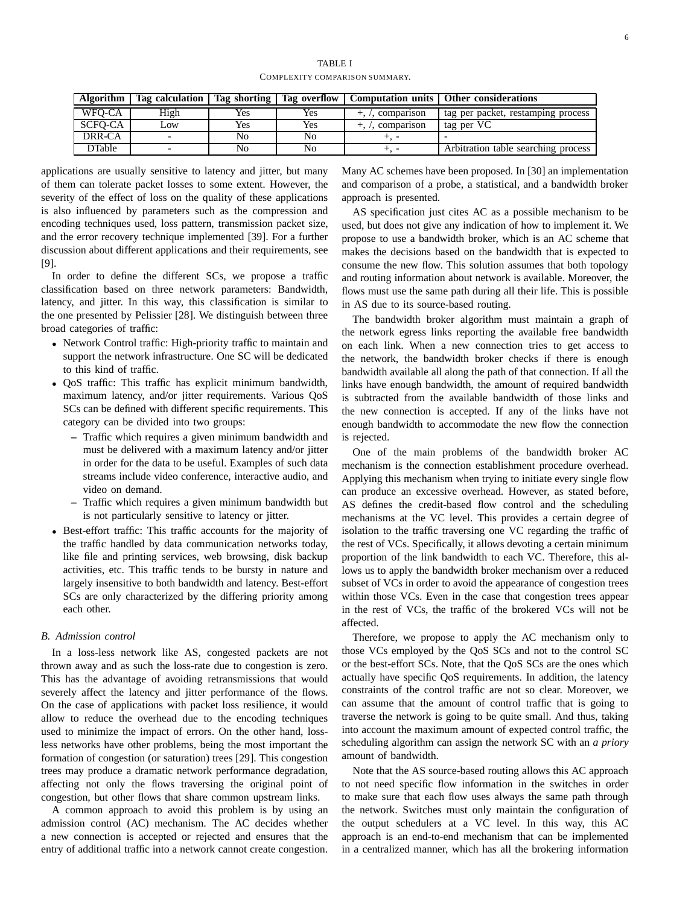TABLE I COMPLEXITY COMPARISON SUMMARY.

| Algorithm     |      |     |     |                        | Tag calculation   Tag shorting   Tag overflow   Computation units   Other considerations |
|---------------|------|-----|-----|------------------------|------------------------------------------------------------------------------------------|
| WFO-CA        | High | Yes | Yes | $+$ , $/$ , comparison | tag per packet, restamping process                                                       |
| SCFO-CA       | .OW  | Yes | Yes | $+$ , $/$ , comparison | tag per VC                                                                               |
| DRR-CA        |      | Nο  | No  |                        |                                                                                          |
| <b>DTable</b> |      | No  | No  |                        | Arbitration table searching process                                                      |

applications are usually sensitive to latency and jitter, but many of them can tolerate packet losses to some extent. However, the severity of the effect of loss on the quality of these applications is also influenced by parameters such as the compression and encoding techniques used, loss pattern, transmission packet size, and the error recovery technique implemented [39]. For a further discussion about different applications and their requirements, see [9].

In order to define the different SCs, we propose a traffic classification based on three network parameters: Bandwidth, latency, and jitter. In this way, this classification is similar to the one presented by Pelissier [28]. We distinguish between three broad categories of traffic:

- Network Control traffic: High-priority traffic to maintain and support the network infrastructure. One SC will be dedicated to this kind of traffic.
- QoS traffic: This traffic has explicit minimum bandwidth, maximum latency, and/or jitter requirements. Various QoS SCs can be defined with different specific requirements. This category can be divided into two groups:
	- **–** Traffic which requires a given minimum bandwidth and must be delivered with a maximum latency and/or jitter in order for the data to be useful. Examples of such data streams include video conference, interactive audio, and video on demand.
	- **–** Traffic which requires a given minimum bandwidth but is not particularly sensitive to latency or jitter.
- Best-effort traffic: This traffic accounts for the majority of the traffic handled by data communication networks today, like file and printing services, web browsing, disk backup activities, etc. This traffic tends to be bursty in nature and largely insensitive to both bandwidth and latency. Best-effort SCs are only characterized by the differing priority among each other.

### *B. Admission control*

In a loss-less network like AS, congested packets are not thrown away and as such the loss-rate due to congestion is zero. This has the advantage of avoiding retransmissions that would severely affect the latency and jitter performance of the flows. On the case of applications with packet loss resilience, it would allow to reduce the overhead due to the encoding techniques used to minimize the impact of errors. On the other hand, lossless networks have other problems, being the most important the formation of congestion (or saturation) trees [29]. This congestion trees may produce a dramatic network performance degradation, affecting not only the flows traversing the original point of congestion, but other flows that share common upstream links.

A common approach to avoid this problem is by using an admission control (AC) mechanism. The AC decides whether a new connection is accepted or rejected and ensures that the entry of additional traffic into a network cannot create congestion. Many AC schemes have been proposed. In [30] an implementation and comparison of a probe, a statistical, and a bandwidth broker approach is presented.

AS specification just cites AC as a possible mechanism to be used, but does not give any indication of how to implement it. We propose to use a bandwidth broker, which is an AC scheme that makes the decisions based on the bandwidth that is expected to consume the new flow. This solution assumes that both topology and routing information about network is available. Moreover, the flows must use the same path during all their life. This is possible in AS due to its source-based routing.

The bandwidth broker algorithm must maintain a graph of the network egress links reporting the available free bandwidth on each link. When a new connection tries to get access to the network, the bandwidth broker checks if there is enough bandwidth available all along the path of that connection. If all the links have enough bandwidth, the amount of required bandwidth is subtracted from the available bandwidth of those links and the new connection is accepted. If any of the links have not enough bandwidth to accommodate the new flow the connection is rejected.

One of the main problems of the bandwidth broker AC mechanism is the connection establishment procedure overhead. Applying this mechanism when trying to initiate every single flow can produce an excessive overhead. However, as stated before, AS defines the credit-based flow control and the scheduling mechanisms at the VC level. This provides a certain degree of isolation to the traffic traversing one VC regarding the traffic of the rest of VCs. Specifically, it allows devoting a certain minimum proportion of the link bandwidth to each VC. Therefore, this allows us to apply the bandwidth broker mechanism over a reduced subset of VCs in order to avoid the appearance of congestion trees within those VCs. Even in the case that congestion trees appear in the rest of VCs, the traffic of the brokered VCs will not be affected.

Therefore, we propose to apply the AC mechanism only to those VCs employed by the QoS SCs and not to the control SC or the best-effort SCs. Note, that the QoS SCs are the ones which actually have specific QoS requirements. In addition, the latency constraints of the control traffic are not so clear. Moreover, we can assume that the amount of control traffic that is going to traverse the network is going to be quite small. And thus, taking into account the maximum amount of expected control traffic, the scheduling algorithm can assign the network SC with an *a priory* amount of bandwidth.

Note that the AS source-based routing allows this AC approach to not need specific flow information in the switches in order to make sure that each flow uses always the same path through the network. Switches must only maintain the configuration of the output schedulers at a VC level. In this way, this AC approach is an end-to-end mechanism that can be implemented in a centralized manner, which has all the brokering information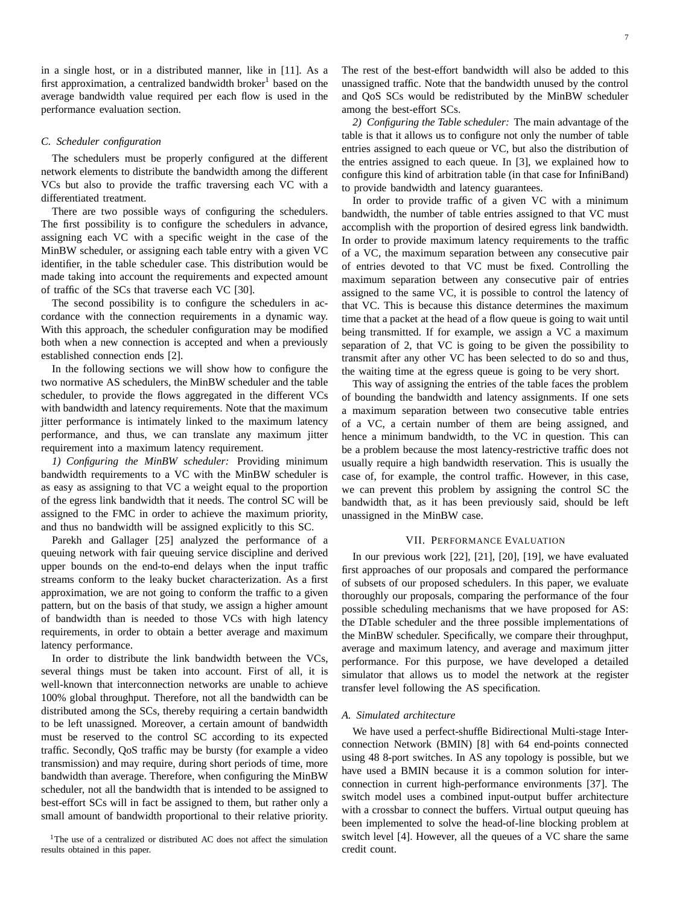in a single host, or in a distributed manner, like in [11]. As a first approximation, a centralized bandwidth broker<sup>1</sup> based on the average bandwidth value required per each flow is used in the performance evaluation section.

#### *C. Scheduler configuration*

The schedulers must be properly configured at the different network elements to distribute the bandwidth among the different VCs but also to provide the traffic traversing each VC with a differentiated treatment.

There are two possible ways of configuring the schedulers. The first possibility is to configure the schedulers in advance, assigning each VC with a specific weight in the case of the MinBW scheduler, or assigning each table entry with a given VC identifier, in the table scheduler case. This distribution would be made taking into account the requirements and expected amount of traffic of the SCs that traverse each VC [30].

The second possibility is to configure the schedulers in accordance with the connection requirements in a dynamic way. With this approach, the scheduler configuration may be modified both when a new connection is accepted and when a previously established connection ends [2].

In the following sections we will show how to configure the two normative AS schedulers, the MinBW scheduler and the table scheduler, to provide the flows aggregated in the different VCs with bandwidth and latency requirements. Note that the maximum jitter performance is intimately linked to the maximum latency performance, and thus, we can translate any maximum jitter requirement into a maximum latency requirement.

*1) Configuring the MinBW scheduler:* Providing minimum bandwidth requirements to a VC with the MinBW scheduler is as easy as assigning to that VC a weight equal to the proportion of the egress link bandwidth that it needs. The control SC will be assigned to the FMC in order to achieve the maximum priority, and thus no bandwidth will be assigned explicitly to this SC.

Parekh and Gallager [25] analyzed the performance of a queuing network with fair queuing service discipline and derived upper bounds on the end-to-end delays when the input traffic streams conform to the leaky bucket characterization. As a first approximation, we are not going to conform the traffic to a given pattern, but on the basis of that study, we assign a higher amount of bandwidth than is needed to those VCs with high latency requirements, in order to obtain a better average and maximum latency performance.

In order to distribute the link bandwidth between the VCs, several things must be taken into account. First of all, it is well-known that interconnection networks are unable to achieve 100% global throughput. Therefore, not all the bandwidth can be distributed among the SCs, thereby requiring a certain bandwidth to be left unassigned. Moreover, a certain amount of bandwidth must be reserved to the control SC according to its expected traffic. Secondly, QoS traffic may be bursty (for example a video transmission) and may require, during short periods of time, more bandwidth than average. Therefore, when configuring the MinBW scheduler, not all the bandwidth that is intended to be assigned to best-effort SCs will in fact be assigned to them, but rather only a small amount of bandwidth proportional to their relative priority.

<sup>1</sup>The use of a centralized or distributed AC does not affect the simulation results obtained in this paper.

The rest of the best-effort bandwidth will also be added to this unassigned traffic. Note that the bandwidth unused by the control and QoS SCs would be redistributed by the MinBW scheduler among the best-effort SCs.

*2) Configuring the Table scheduler:* The main advantage of the table is that it allows us to configure not only the number of table entries assigned to each queue or VC, but also the distribution of the entries assigned to each queue. In [3], we explained how to configure this kind of arbitration table (in that case for InfiniBand) to provide bandwidth and latency guarantees.

In order to provide traffic of a given VC with a minimum bandwidth, the number of table entries assigned to that VC must accomplish with the proportion of desired egress link bandwidth. In order to provide maximum latency requirements to the traffic of a VC, the maximum separation between any consecutive pair of entries devoted to that VC must be fixed. Controlling the maximum separation between any consecutive pair of entries assigned to the same VC, it is possible to control the latency of that VC. This is because this distance determines the maximum time that a packet at the head of a flow queue is going to wait until being transmitted. If for example, we assign a VC a maximum separation of 2, that VC is going to be given the possibility to transmit after any other VC has been selected to do so and thus, the waiting time at the egress queue is going to be very short.

This way of assigning the entries of the table faces the problem of bounding the bandwidth and latency assignments. If one sets a maximum separation between two consecutive table entries of a VC, a certain number of them are being assigned, and hence a minimum bandwidth, to the VC in question. This can be a problem because the most latency-restrictive traffic does not usually require a high bandwidth reservation. This is usually the case of, for example, the control traffic. However, in this case, we can prevent this problem by assigning the control SC the bandwidth that, as it has been previously said, should be left unassigned in the MinBW case.

## VII. PERFORMANCE EVALUATION

In our previous work [22], [21], [20], [19], we have evaluated first approaches of our proposals and compared the performance of subsets of our proposed schedulers. In this paper, we evaluate thoroughly our proposals, comparing the performance of the four possible scheduling mechanisms that we have proposed for AS: the DTable scheduler and the three possible implementations of the MinBW scheduler. Specifically, we compare their throughput, average and maximum latency, and average and maximum jitter performance. For this purpose, we have developed a detailed simulator that allows us to model the network at the register transfer level following the AS specification.

#### *A. Simulated architecture*

We have used a perfect-shuffle Bidirectional Multi-stage Interconnection Network (BMIN) [8] with 64 end-points connected using 48 8-port switches. In AS any topology is possible, but we have used a BMIN because it is a common solution for interconnection in current high-performance environments [37]. The switch model uses a combined input-output buffer architecture with a crossbar to connect the buffers. Virtual output queuing has been implemented to solve the head-of-line blocking problem at switch level [4]. However, all the queues of a VC share the same credit count.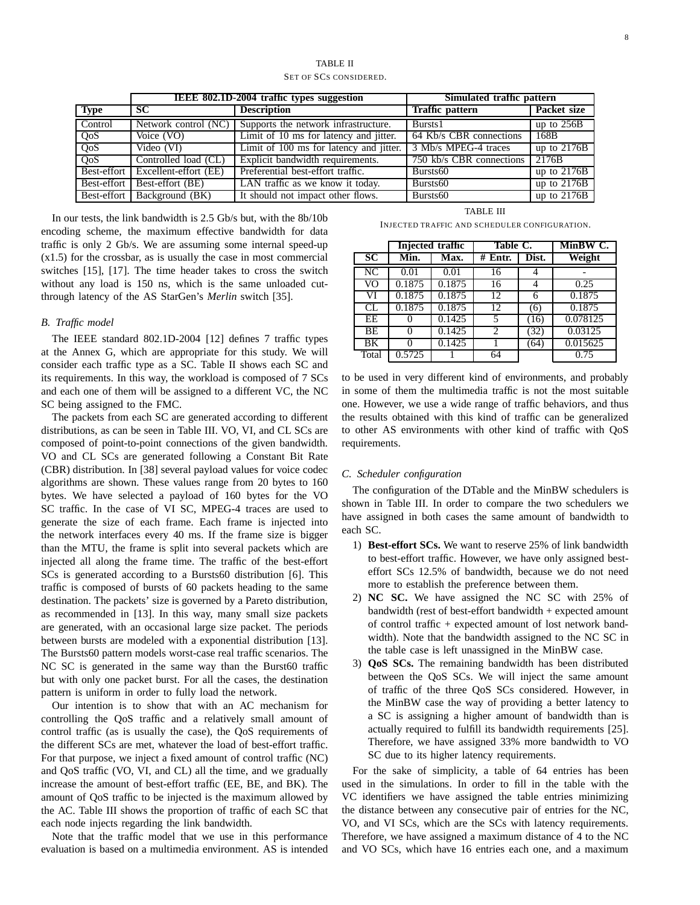TABLE II SET OF SCS CONSIDERED.

|             |                       | IEEE 802.1D-2004 traffic types suggestion | Simulated traffic pattern |               |  |
|-------------|-----------------------|-------------------------------------------|---------------------------|---------------|--|
| Type        | SC.                   | <b>Description</b>                        | <b>Traffic pattern</b>    | Packet size   |  |
| Control     | Network control (NC)  | Supports the network infrastructure.      | Bursts1                   | up to $256B$  |  |
| QoS         | Voice (VO)            | Limit of 10 ms for latency and jitter.    | 64 Kb/s CBR connections   | 168B          |  |
| QoS         | Video (VI)            | Limit of 100 ms for latency and jitter.   | 3 Mb/s MPEG-4 traces      | up to $2176B$ |  |
| QoS         | Controlled load (CL)  | Explicit bandwidth requirements.          | 750 kb/s CBR connections  | 2176B         |  |
| Best-effort | Excellent-effort (EE) | Preferential best-effort traffic.         | Bursts <sub>60</sub>      | up to $2176B$ |  |
| Best-effort | Best-effort (BE)      | LAN traffic as we know it today.          | Bursts60                  | up to $2176B$ |  |
| Best-effort | Background (BK)       | It should not impact other flows.         | Bursts <sub>60</sub>      | up to $2176B$ |  |

In our tests, the link bandwidth is 2.5 Gb/s but, with the 8b/10b encoding scheme, the maximum effective bandwidth for data traffic is only 2 Gb/s. We are assuming some internal speed-up (x1.5) for the crossbar, as is usually the case in most commercial switches [15], [17]. The time header takes to cross the switch without any load is 150 ns, which is the same unloaded cutthrough latency of the AS StarGen's *Merlin* switch [35].

#### *B. Traffic model*

The IEEE standard 802.1D-2004 [12] defines 7 traffic types at the Annex G, which are appropriate for this study. We will consider each traffic type as a SC. Table II shows each SC and its requirements. In this way, the workload is composed of 7 SCs and each one of them will be assigned to a different VC, the NC SC being assigned to the FMC.

The packets from each SC are generated according to different distributions, as can be seen in Table III. VO, VI, and CL SCs are composed of point-to-point connections of the given bandwidth. VO and CL SCs are generated following a Constant Bit Rate (CBR) distribution. In [38] several payload values for voice codec algorithms are shown. These values range from 20 bytes to 160 bytes. We have selected a payload of 160 bytes for the VO SC traffic. In the case of VI SC, MPEG-4 traces are used to generate the size of each frame. Each frame is injected into the network interfaces every 40 ms. If the frame size is bigger than the MTU, the frame is split into several packets which are injected all along the frame time. The traffic of the best-effort SCs is generated according to a Bursts60 distribution [6]. This traffic is composed of bursts of 60 packets heading to the same destination. The packets' size is governed by a Pareto distribution, as recommended in [13]. In this way, many small size packets are generated, with an occasional large size packet. The periods between bursts are modeled with a exponential distribution [13]. The Bursts60 pattern models worst-case real traffic scenarios. The NC SC is generated in the same way than the Burst60 traffic but with only one packet burst. For all the cases, the destination pattern is uniform in order to fully load the network.

Our intention is to show that with an AC mechanism for controlling the QoS traffic and a relatively small amount of control traffic (as is usually the case), the QoS requirements of the different SCs are met, whatever the load of best-effort traffic. For that purpose, we inject a fixed amount of control traffic (NC) and QoS traffic (VO, VI, and CL) all the time, and we gradually increase the amount of best-effort traffic (EE, BE, and BK). The amount of QoS traffic to be injected is the maximum allowed by the AC. Table III shows the proportion of traffic of each SC that each node injects regarding the link bandwidth.

Note that the traffic model that we use in this performance evaluation is based on a multimedia environment. AS is intended

TABLE III INJECTED TRAFFIC AND SCHEDULER CONFIGURATION.

|       | Injected traffic |        | Table C.  |       | MinBW C. |  |
|-------|------------------|--------|-----------|-------|----------|--|
| SC    | Min.             | Max.   | $#$ Entr. | Dist. | Weight   |  |
| NC    | 0.01             | 0.01   | 16        |       |          |  |
| VO    | 0.1875           | 0.1875 | 16        |       | 0.25     |  |
| VI    | 0.1875           | 0.1875 | 12        | 6     | 0.1875   |  |
| CL.   | 0.1875           | 0.1875 | 12        | (6)   | 0.1875   |  |
| EE    | 0                | 0.1425 | 5         | (16)  | 0.078125 |  |
| ВE    | $\theta$         | 0.1425 | 2         | (32)  | 0.03125  |  |
| ВK    | 0                | 0.1425 |           | (64)  | 0.015625 |  |
| Total | 0.5725           |        | 64        |       | 0.75     |  |

to be used in very different kind of environments, and probably in some of them the multimedia traffic is not the most suitable one. However, we use a wide range of traffic behaviors, and thus the results obtained with this kind of traffic can be generalized to other AS environments with other kind of traffic with QoS requirements.

#### *C. Scheduler configuration*

The configuration of the DTable and the MinBW schedulers is shown in Table III. In order to compare the two schedulers we have assigned in both cases the same amount of bandwidth to each SC.

- 1) **Best-effort SCs.** We want to reserve 25% of link bandwidth to best-effort traffic. However, we have only assigned besteffort SCs 12.5% of bandwidth, because we do not need more to establish the preference between them.
- 2) **NC SC.** We have assigned the NC SC with 25% of bandwidth (rest of best-effort bandwidth + expected amount of control traffic + expected amount of lost network bandwidth). Note that the bandwidth assigned to the NC SC in the table case is left unassigned in the MinBW case.
- 3) **QoS SCs.** The remaining bandwidth has been distributed between the QoS SCs. We will inject the same amount of traffic of the three QoS SCs considered. However, in the MinBW case the way of providing a better latency to a SC is assigning a higher amount of bandwidth than is actually required to fulfill its bandwidth requirements [25]. Therefore, we have assigned 33% more bandwidth to VO SC due to its higher latency requirements.

For the sake of simplicity, a table of 64 entries has been used in the simulations. In order to fill in the table with the VC identifiers we have assigned the table entries minimizing the distance between any consecutive pair of entries for the NC, VO, and VI SCs, which are the SCs with latency requirements. Therefore, we have assigned a maximum distance of 4 to the NC and VO SCs, which have 16 entries each one, and a maximum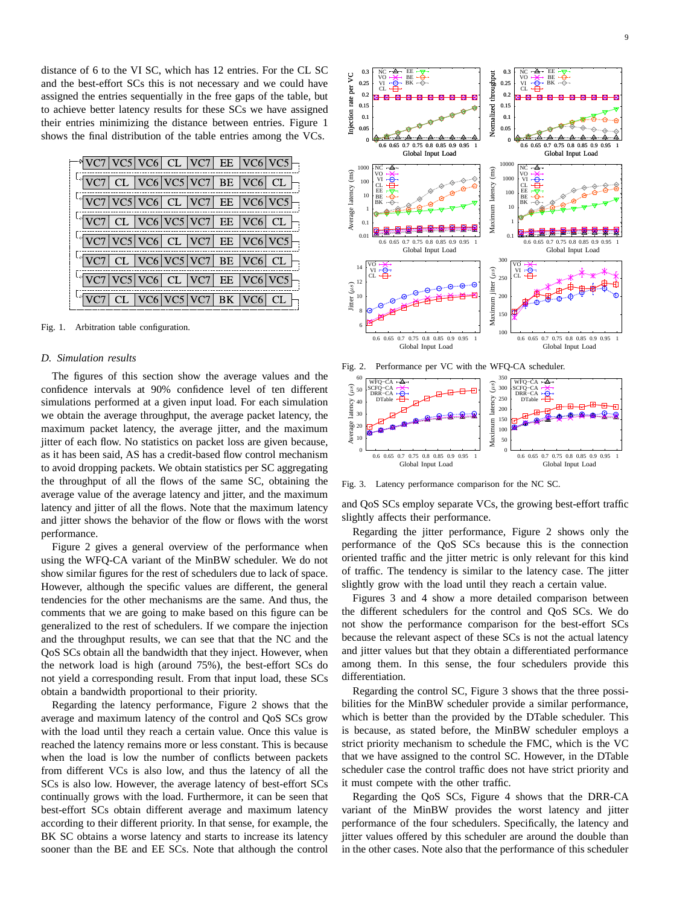distance of 6 to the VI SC, which has 12 entries. For the CL SC and the best-effort SCs this is not necessary and we could have assigned the entries sequentially in the free gaps of the table, but to achieve better latency results for these SCs we have assigned their entries minimizing the distance between entries. Figure 1 shows the final distribution of the table entries among the VCs.

|  |  |  | $\frac{1}{2}$ VC7 VC5 VC6 CL VC7 EE VC6 VC5 $\frac{1}{2}$                                                   |  |
|--|--|--|-------------------------------------------------------------------------------------------------------------|--|
|  |  |  | $\sqrt{\frac{1}{2} V C 7}$ CL $V C 6$ $V C 5$ $V C 7$ BE $V C 6$ CL $\frac{1}{2}$                           |  |
|  |  |  | $\sqrt{\frac{1}{2}VC7 VC5 VC6 CL VC7  EE VC6 VC5}}$                                                         |  |
|  |  |  | $\sqrt{\frac{1}{2} \text{VC7}}$ CL $ \text{VC6}  \text{VC5}  \text{VC7}$ EE $ \text{VC6} $ CL $\frac{1}{2}$ |  |
|  |  |  | $\sqrt{\frac{1}{2}VC7 VC5 VC6 CL VC7 EE VC6 VC5}}$                                                          |  |
|  |  |  | $\sqrt{\frac{1}{2} V C 7}$ CL $V C 6$ $V C 5$ $V C 7$ BE $V C 6$ CL                                         |  |
|  |  |  | VC7 VC5 VC6 CL VC7 EE VC6 VC5                                                                               |  |
|  |  |  | $\sqrt{\frac{1}{2} V C 7}$ CL $V C 6$ $V C 5$ $V C 7$ BK $V C 6$ CL                                         |  |

Fig. 1. Arbitration table configuration.

#### *D. Simulation results*

The figures of this section show the average values and the confidence intervals at 90% confidence level of ten different simulations performed at a given input load. For each simulation we obtain the average throughput, the average packet latency, the maximum packet latency, the average jitter, and the maximum jitter of each flow. No statistics on packet loss are given because, as it has been said, AS has a credit-based flow control mechanism to avoid dropping packets. We obtain statistics per SC aggregating the throughput of all the flows of the same SC, obtaining the average value of the average latency and jitter, and the maximum latency and jitter of all the flows. Note that the maximum latency and jitter shows the behavior of the flow or flows with the worst performance.

Figure 2 gives a general overview of the performance when using the WFQ-CA variant of the MinBW scheduler. We do not show similar figures for the rest of schedulers due to lack of space. However, although the specific values are different, the general tendencies for the other mechanisms are the same. And thus, the comments that we are going to make based on this figure can be generalized to the rest of schedulers. If we compare the injection and the throughput results, we can see that that the NC and the QoS SCs obtain all the bandwidth that they inject. However, when the network load is high (around 75%), the best-effort SCs do not yield a corresponding result. From that input load, these SCs obtain a bandwidth proportional to their priority.

Regarding the latency performance, Figure 2 shows that the average and maximum latency of the control and QoS SCs grow with the load until they reach a certain value. Once this value is reached the latency remains more or less constant. This is because when the load is low the number of conflicts between packets from different VCs is also low, and thus the latency of all the SCs is also low. However, the average latency of best-effort SCs continually grows with the load. Furthermore, it can be seen that best-effort SCs obtain different average and maximum latency according to their different priority. In that sense, for example, the BK SC obtains a worse latency and starts to increase its latency sooner than the BE and EE SCs. Note that although the control



Fig. 2. Performance per VC with the WFQ-CA scheduler.



Fig. 3. Latency performance comparison for the NC SC.

and QoS SCs employ separate VCs, the growing best-effort traffic slightly affects their performance.

Regarding the jitter performance, Figure 2 shows only the performance of the QoS SCs because this is the connection oriented traffic and the jitter metric is only relevant for this kind of traffic. The tendency is similar to the latency case. The jitter slightly grow with the load until they reach a certain value.

Figures 3 and 4 show a more detailed comparison between the different schedulers for the control and QoS SCs. We do not show the performance comparison for the best-effort SCs because the relevant aspect of these SCs is not the actual latency and jitter values but that they obtain a differentiated performance among them. In this sense, the four schedulers provide this differentiation.

Regarding the control SC, Figure 3 shows that the three possibilities for the MinBW scheduler provide a similar performance, which is better than the provided by the DTable scheduler. This is because, as stated before, the MinBW scheduler employs a strict priority mechanism to schedule the FMC, which is the VC that we have assigned to the control SC. However, in the DTable scheduler case the control traffic does not have strict priority and it must compete with the other traffic.

Regarding the QoS SCs, Figure 4 shows that the DRR-CA variant of the MinBW provides the worst latency and jitter performance of the four schedulers. Specifically, the latency and jitter values offered by this scheduler are around the double than in the other cases. Note also that the performance of this scheduler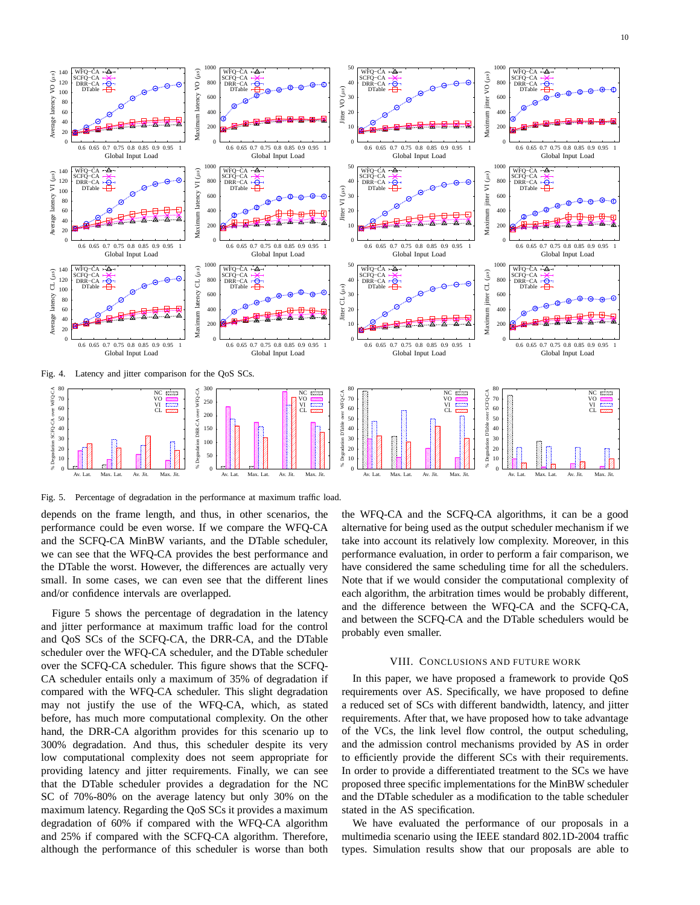

Fig. 5. Percentage of degradation in the performance at maximum traffic load.

depends on the frame length, and thus, in other scenarios, the performance could be even worse. If we compare the WFQ-CA and the SCFQ-CA MinBW variants, and the DTable scheduler, we can see that the WFQ-CA provides the best performance and the DTable the worst. However, the differences are actually very small. In some cases, we can even see that the different lines and/or confidence intervals are overlapped.

Figure 5 shows the percentage of degradation in the latency and jitter performance at maximum traffic load for the control and QoS SCs of the SCFQ-CA, the DRR-CA, and the DTable scheduler over the WFQ-CA scheduler, and the DTable scheduler over the SCFQ-CA scheduler. This figure shows that the SCFQ-CA scheduler entails only a maximum of 35% of degradation if compared with the WFQ-CA scheduler. This slight degradation may not justify the use of the WFQ-CA, which, as stated before, has much more computational complexity. On the other hand, the DRR-CA algorithm provides for this scenario up to 300% degradation. And thus, this scheduler despite its very low computational complexity does not seem appropriate for providing latency and jitter requirements. Finally, we can see that the DTable scheduler provides a degradation for the NC SC of 70%-80% on the average latency but only 30% on the maximum latency. Regarding the QoS SCs it provides a maximum degradation of 60% if compared with the WFQ-CA algorithm and 25% if compared with the SCFQ-CA algorithm. Therefore, although the performance of this scheduler is worse than both

the WFQ-CA and the SCFQ-CA algorithms, it can be a good alternative for being used as the output scheduler mechanism if we take into account its relatively low complexity. Moreover, in this performance evaluation, in order to perform a fair comparison, we have considered the same scheduling time for all the schedulers. Note that if we would consider the computational complexity of each algorithm, the arbitration times would be probably different, and the difference between the WFQ-CA and the SCFQ-CA, and between the SCFQ-CA and the DTable schedulers would be probably even smaller.

#### VIII. CONCLUSIONS AND FUTURE WORK

In this paper, we have proposed a framework to provide QoS requirements over AS. Specifically, we have proposed to define a reduced set of SCs with different bandwidth, latency, and jitter requirements. After that, we have proposed how to take advantage of the VCs, the link level flow control, the output scheduling, and the admission control mechanisms provided by AS in order to efficiently provide the different SCs with their requirements. In order to provide a differentiated treatment to the SCs we have proposed three specific implementations for the MinBW scheduler and the DTable scheduler as a modification to the table scheduler stated in the AS specification.

We have evaluated the performance of our proposals in a multimedia scenario using the IEEE standard 802.1D-2004 traffic types. Simulation results show that our proposals are able to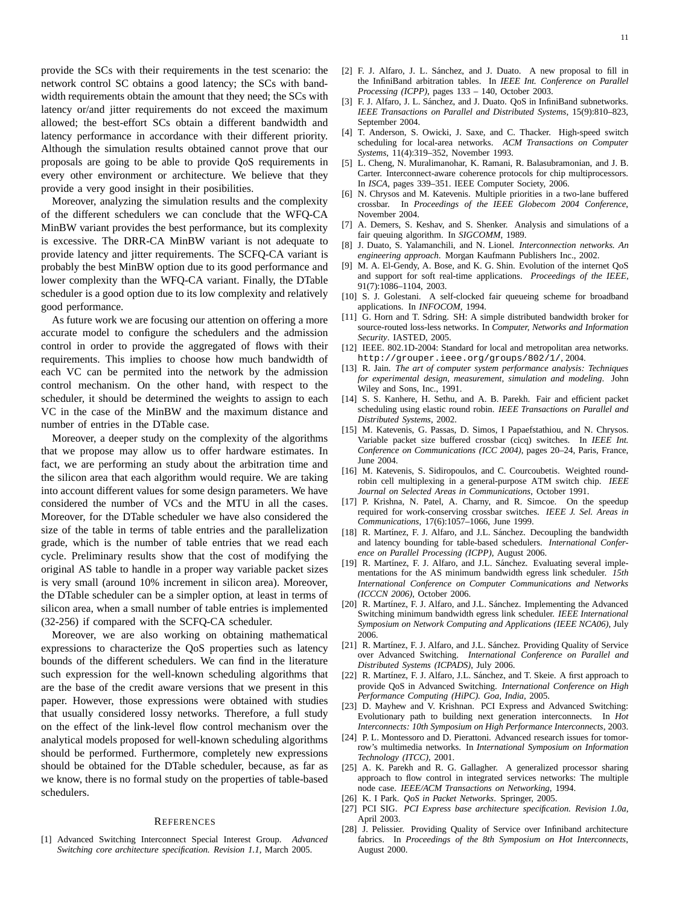provide the SCs with their requirements in the test scenario: the network control SC obtains a good latency; the SCs with bandwidth requirements obtain the amount that they need; the SCs with latency or/and jitter requirements do not exceed the maximum allowed; the best-effort SCs obtain a different bandwidth and latency performance in accordance with their different priority. Although the simulation results obtained cannot prove that our proposals are going to be able to provide QoS requirements in every other environment or architecture. We believe that they provide a very good insight in their posibilities.

Moreover, analyzing the simulation results and the complexity of the different schedulers we can conclude that the WFQ-CA MinBW variant provides the best performance, but its complexity is excessive. The DRR-CA MinBW variant is not adequate to provide latency and jitter requirements. The SCFQ-CA variant is probably the best MinBW option due to its good performance and lower complexity than the WFQ-CA variant. Finally, the DTable scheduler is a good option due to its low complexity and relatively good performance.

As future work we are focusing our attention on offering a more accurate model to configure the schedulers and the admission control in order to provide the aggregated of flows with their requirements. This implies to choose how much bandwidth of each VC can be permited into the network by the admission control mechanism. On the other hand, with respect to the scheduler, it should be determined the weights to assign to each VC in the case of the MinBW and the maximum distance and number of entries in the DTable case.

Moreover, a deeper study on the complexity of the algorithms that we propose may allow us to offer hardware estimates. In fact, we are performing an study about the arbitration time and the silicon area that each algorithm would require. We are taking into account different values for some design parameters. We have considered the number of VCs and the MTU in all the cases. Moreover, for the DTable scheduler we have also considered the size of the table in terms of table entries and the parallelization grade, which is the number of table entries that we read each cycle. Preliminary results show that the cost of modifying the original AS table to handle in a proper way variable packet sizes is very small (around 10% increment in silicon area). Moreover, the DTable scheduler can be a simpler option, at least in terms of silicon area, when a small number of table entries is implemented (32-256) if compared with the SCFQ-CA scheduler.

Moreover, we are also working on obtaining mathematical expressions to characterize the QoS properties such as latency bounds of the different schedulers. We can find in the literature such expression for the well-known scheduling algorithms that are the base of the credit aware versions that we present in this paper. However, those expressions were obtained with studies that usually considered lossy networks. Therefore, a full study on the effect of the link-level flow control mechanism over the analytical models proposed for well-known scheduling algorithms should be performed. Furthermore, completely new expressions should be obtained for the DTable scheduler, because, as far as we know, there is no formal study on the properties of table-based schedulers.

#### **REFERENCES**

[1] Advanced Switching Interconnect Special Interest Group. *Advanced Switching core architecture specification. Revision 1.1*, March 2005.

- [2] F. J. Alfaro, J. L. Sánchez, and J. Duato. A new proposal to fill in the InfiniBand arbitration tables. In *IEEE Int. Conference on Parallel Processing (ICPP)*, pages 133 – 140, October 2003.
- [3] F. J. Alfaro, J. L. Sánchez, and J. Duato. QoS in InfiniBand subnetworks. *IEEE Transactions on Parallel and Distributed Systems*, 15(9):810–823, September 2004.
- [4] T. Anderson, S. Owicki, J. Saxe, and C. Thacker. High-speed switch scheduling for local-area networks. *ACM Transactions on Computer Systems*, 11(4):319–352, November 1993.
- [5] L. Cheng, N. Muralimanohar, K. Ramani, R. Balasubramonian, and J. B. Carter. Interconnect-aware coherence protocols for chip multiprocessors. In *ISCA*, pages 339–351. IEEE Computer Society, 2006.
- [6] N. Chrysos and M. Katevenis. Multiple priorities in a two-lane buffered crossbar. In *Proceedings of the IEEE Globecom 2004 Conference*, November 2004.
- [7] A. Demers, S. Keshav, and S. Shenker. Analysis and simulations of a fair queuing algorithm. In *SIGCOMM*, 1989.
- [8] J. Duato, S. Yalamanchili, and N. Lionel. *Interconnection networks. An engineering approach*. Morgan Kaufmann Publishers Inc., 2002.
- [9] M. A. El-Gendy, A. Bose, and K. G. Shin. Evolution of the internet QoS and support for soft real-time applications. *Proceedings of the IEEE*, 91(7):1086–1104, 2003.
- [10] S. J. Golestani. A self-clocked fair queueing scheme for broadband applications. In *INFOCOM*, 1994.
- [11] G. Horn and T. Sdring. SH: A simple distributed bandwidth broker for source-routed loss-less networks. In *Computer, Networks and Information Security*. IASTED, 2005.
- [12] IEEE. 802.1D-2004: Standard for local and metropolitan area networks. http://grouper.ieee.org/groups/802/1/, 2004.
- [13] R. Jain. *The art of computer system performance analysis: Techniques for experimental design, measurement, simulation and modeling*. John Wiley and Sons, Inc., 1991.
- [14] S. S. Kanhere, H. Sethu, and A. B. Parekh. Fair and efficient packet scheduling using elastic round robin. *IEEE Transactions on Parallel and Distributed Systems*, 2002.
- [15] M. Katevenis, G. Passas, D. Simos, I Papaefstathiou, and N. Chrysos. Variable packet size buffered crossbar (cicq) switches. In *IEEE Int. Conference on Communications (ICC 2004)*, pages 20–24, Paris, France, June 2004.
- [16] M. Katevenis, S. Sidiropoulos, and C. Courcoubetis. Weighted roundrobin cell multiplexing in a general-purpose ATM switch chip. *IEEE Journal on Selected Areas in Communications*, October 1991.
- [17] P. Krishna, N. Patel, A. Charny, and R. Simcoe. On the speedup required for work-conserving crossbar switches. *IEEE J. Sel. Areas in Communications*, 17(6):1057–1066, June 1999.
- [18] R. Martínez, F. J. Alfaro, and J.L. Sánchez. Decoupling the bandwidth and latency bounding for table-based schedulers. *International Conference on Parallel Processing (ICPP)*, August 2006.
- [19] R. Martínez, F. J. Alfaro, and J.L. Sánchez. Evaluating several implementations for the AS minimum bandwidth egress link scheduler. *15th International Conference on Computer Communications and Networks (ICCCN 2006)*, October 2006.
- [20] R. Martínez, F. J. Alfaro, and J.L. Sánchez. Implementing the Advanced Switching minimum bandwidth egress link scheduler. *IEEE International Symposium on Network Computing and Applications (IEEE NCA06)*, July 2006.
- [21] R. Martínez, F. J. Alfaro, and J.L. Sánchez. Providing Quality of Service over Advanced Switching. *International Conference on Parallel and Distributed Systems (ICPADS)*, July 2006.
- [22] R. Martínez, F. J. Alfaro, J.L. Sánchez, and T. Skeie. A first approach to provide QoS in Advanced Switching. *International Conference on High Performance Computing (HiPC). Goa, India*, 2005.
- [23] D. Mayhew and V. Krishnan. PCI Express and Advanced Switching: Evolutionary path to building next generation interconnects. In *Hot Interconnects: 10th Symposium on High Performance Interconnects*, 2003.
- [24] P. L. Montessoro and D. Pierattoni. Advanced research issues for tomorrow's multimedia networks. In *International Symposium on Information Technology (ITCC)*, 2001.
- [25] A. K. Parekh and R. G. Gallagher. A generalized processor sharing approach to flow control in integrated services networks: The multiple node case. *IEEE/ACM Transactions on Networking*, 1994.
- [26] K. I Park. *QoS in Packet Networks*. Springer, 2005.
- [27] PCI SIG. *PCI Express base architecture specification. Revision 1.0a*, April 2003.
- [28] J. Pelissier. Providing Quality of Service over Infiniband architecture fabrics. In *Proceedings of the 8th Symposium on Hot Interconnects*, August 2000.